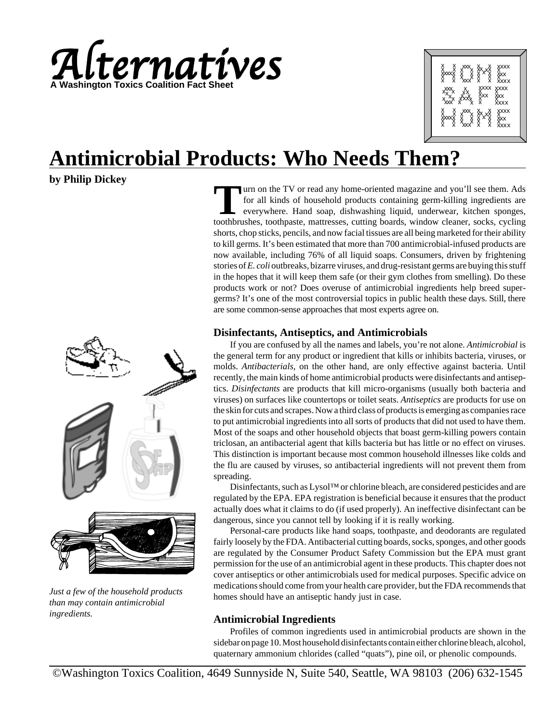



# **Antimicrobial Products: Who Needs Them?**

# **by Philip Dickey**



*Just a few of the household products than may contain antimicrobial ingredients.*

Turn on the TV or read any home-oriented magazine and you'll see them. Ads<br>for all kinds of household products containing germ-killing ingredients are<br>everywhere. Hand soap, dishwashing liquid, underwear, kitchen sponges,<br> for all kinds of household products containing germ-killing ingredients are everywhere. Hand soap, dishwashing liquid, underwear, kitchen sponges, toothbrushes, toothpaste, mattresses, cutting boards, window cleaner, socks, cycling shorts, chop sticks, pencils, and now facial tissues are all being marketed for their ability to kill germs. It's been estimated that more than 700 antimicrobial-infused products are now available, including 76% of all liquid soaps. Consumers, driven by frightening stories of *E. coli* outbreaks, bizarre viruses, and drug-resistant germs are buying this stuff in the hopes that it will keep them safe (or their gym clothes from smelling). Do these products work or not? Does overuse of antimicrobial ingredients help breed supergerms? It's one of the most controversial topics in public health these days. Still, there are some common-sense approaches that most experts agree on.

# **Disinfectants, Antiseptics, and Antimicrobials**

If you are confused by all the names and labels, you're not alone. *Antimicrobial* is the general term for any product or ingredient that kills or inhibits bacteria, viruses, or molds. *Antibacterials*, on the other hand, are only effective against bacteria. Until recently, the main kinds of home antimicrobial products were disinfectants and antiseptics. *Disinfectants* are products that kill micro-organisms (usually both bacteria and viruses) on surfaces like countertops or toilet seats. *Antiseptics* are products for use on the skin for cuts and scrapes. Now a third class of products is emerging as companies race to put antimicrobial ingredients into all sorts of products that did not used to have them. Most of the soaps and other household objects that boast germ-killing powers contain triclosan, an antibacterial agent that kills bacteria but has little or no effect on viruses. This distinction is important because most common household illnesses like colds and the flu are caused by viruses, so antibacterial ingredients will not prevent them from spreading.

Disinfectants, such as Lysol™ or chlorine bleach, are considered pesticides and are regulated by the EPA. EPA registration is beneficial because it ensures that the product actually does what it claims to do (if used properly). An ineffective disinfectant can be dangerous, since you cannot tell by looking if it is really working.

Personal-care products like hand soaps, toothpaste, and deodorants are regulated fairly loosely by the FDA. Antibacterial cutting boards, socks, sponges, and other goods are regulated by the Consumer Product Safety Commission but the EPA must grant permission for the use of an antimicrobial agent in these products. This chapter does not cover antiseptics or other antimicrobials used for medical purposes. Specific advice on medications should come from your health care provider, but the FDA recommends that homes should have an antiseptic handy just in case.

# **Antimicrobial Ingredients**

Profiles of common ingredients used in antimicrobial products are shown in the sidebar on page 10. Most household disinfectants contain either chlorine bleach, alcohol, quaternary ammonium chlorides (called "quats"), pine oil, or phenolic compounds.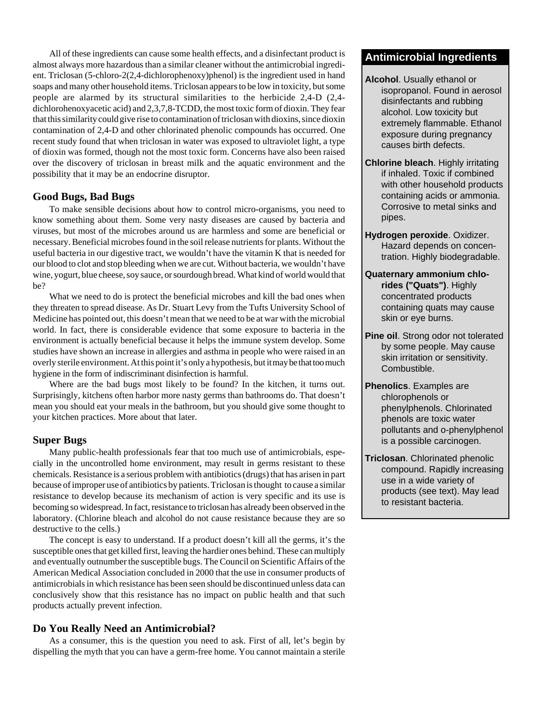All of these ingredients can cause some health effects, and a disinfectant product is **Antimicrobial Ingredients** almost always more hazardous than a similar cleaner without the antimicrobial ingredient. Triclosan (5-chloro-2(2,4-dichlorophenoxy)phenol) is the ingredient used in hand soaps and many other household items. Triclosan appears to be low in toxicity, but some people are alarmed by its structural similarities to the herbicide 2,4-D (2,4 dichlorohenoxyacetic acid) and 2,3,7,8-TCDD, the most toxic form of dioxin. They fear that this similarity could give rise to contamination of triclosan with dioxins, since dioxin contamination of 2,4-D and other chlorinated phenolic compounds has occurred. One recent study found that when triclosan in water was exposed to ultraviolet light, a type of dioxin was formed, though not the most toxic form. Concerns have also been raised over the discovery of triclosan in breast milk and the aquatic environment and the possibility that it may be an endocrine disruptor.

### **Good Bugs, Bad Bugs**

To make sensible decisions about how to control micro-organisms, you need to know something about them. Some very nasty diseases are caused by bacteria and viruses, but most of the microbes around us are harmless and some are beneficial or necessary. Beneficial microbes found in the soil release nutrients for plants. Without the useful bacteria in our digestive tract, we wouldn't have the vitamin K that is needed for our blood to clot and stop bleeding when we are cut. Without bacteria, we wouldn't have wine, yogurt, blue cheese, soy sauce, or sourdough bread. What kind of world would that be?

What we need to do is protect the beneficial microbes and kill the bad ones when they threaten to spread disease. As Dr. Stuart Levy from the Tufts University School of Medicine has pointed out, this doesn't mean that we need to be at war with the microbial world. In fact, there is considerable evidence that some exposure to bacteria in the environment is actually beneficial because it helps the immune system develop. Some studies have shown an increase in allergies and asthma in people who were raised in an overly sterile environment. At this point it's only a hypothesis, but it may be that too much hygiene in the form of indiscriminant disinfection is harmful.

Where are the bad bugs most likely to be found? In the kitchen, it turns out. Surprisingly, kitchens often harbor more nasty germs than bathrooms do. That doesn't mean you should eat your meals in the bathroom, but you should give some thought to your kitchen practices. More about that later.

### **Super Bugs**

Many public-health professionals fear that too much use of antimicrobials, especially in the uncontrolled home environment, may result in germs resistant to these chemicals. Resistance is a serious problem with antibiotics (drugs) that has arisen in part because of improper use of antibiotics by patients. Triclosan is thought to cause a similar resistance to develop because its mechanism of action is very specific and its use is becoming so widespread. In fact, resistance to triclosan has already been observed in the laboratory. (Chlorine bleach and alcohol do not cause resistance because they are so destructive to the cells.)

The concept is easy to understand. If a product doesn't kill all the germs, it's the susceptible ones that get killed first, leaving the hardier ones behind. These can multiply and eventually outnumber the susceptible bugs. The Council on Scientific Affairs of the American Medical Association concluded in 2000 that the use in consumer products of antimicrobials in which resistance has been seen should be discontinued unless data can conclusively show that this resistance has no impact on public health and that such products actually prevent infection.

### **Do You Really Need an Antimicrobial?**

As a consumer, this is the question you need to ask. First of all, let's begin by dispelling the myth that you can have a germ-free home. You cannot maintain a sterile

- **Alcohol**. Usually ethanol or isopropanol. Found in aerosol disinfectants and rubbing alcohol. Low toxicity but extremely flammable. Ethanol exposure during pregnancy causes birth defects.
- **Chlorine bleach**. Highly irritating if inhaled. Toxic if combined with other household products containing acids or ammonia. Corrosive to metal sinks and pipes.
- **Hydrogen peroxide**. Oxidizer. Hazard depends on concentration. Highly biodegradable.
- **Quaternary ammonium chlorides ("Quats")**. Highly concentrated products containing quats may cause skin or eye burns.
- **Pine oil**. Strong odor not tolerated by some people. May cause skin irritation or sensitivity. Combustible.
- **Phenolics**. Examples are chlorophenols or phenylphenols. Chlorinated phenols are toxic water pollutants and o-phenylphenol is a possible carcinogen.
- **Triclosan**. Chlorinated phenolic compound. Rapidly increasing use in a wide variety of products (see text). May lead to resistant bacteria.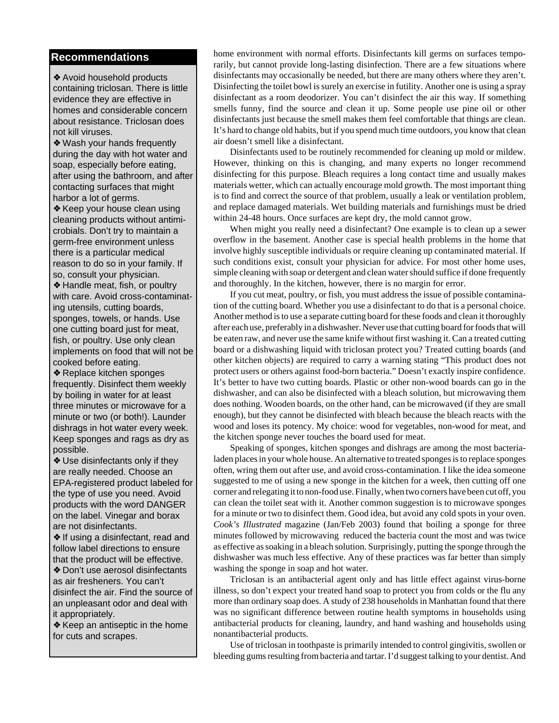### **Recommendations**

❖ Avoid household products containing triclosan. There is little evidence they are effective in homes and considerable concern about resistance. Triclosan does not kill viruses.

❖ Wash your hands frequently during the day with hot water and soap, especially before eating, after using the bathroom, and after contacting surfaces that might harbor a lot of germs.

❖ Keep your house clean using cleaning products without antimicrobials. Don't try to maintain a germ-free environment unless there is a particular medical reason to do so in your family. If so, consult your physician. ❖ Handle meat, fish, or poultry

with care. Avoid cross-contaminating utensils, cutting boards, sponges, towels, or hands. Use one cutting board just for meat, fish, or poultry. Use only clean implements on food that will not be cooked before eating.

❖ Replace kitchen sponges frequently. Disinfect them weekly by boiling in water for at least three minutes or microwave for a minute or two (or both!). Launder dishrags in hot water every week. Keep sponges and rags as dry as possible.

❖ Use disinfectants only if they are really needed. Choose an EPA-registered product labeled for the type of use you need. Avoid products with the word DANGER on the label. Vinegar and borax are not disinfectants.

❖ If using a disinfectant, read and follow label directions to ensure that the product will be effective. ❖ Don't use aerosol disinfectants as air fresheners. You can't disinfect the air. Find the source of an unpleasant odor and deal with it appropriately.

❖ Keep an antiseptic in the home for cuts and scrapes.

home environment with normal efforts. Disinfectants kill germs on surfaces temporarily, but cannot provide long-lasting disinfection. There are a few situations where disinfectants may occasionally be needed, but there are many others where they aren't. Disinfecting the toilet bowl is surely an exercise in futility. Another one is using a spray disinfectant as a room deodorizer. You can't disinfect the air this way. If something smells funny, find the source and clean it up. Some people use pine oil or other disinfectants just because the smell makes them feel comfortable that things are clean. It's hard to change old habits, but if you spend much time outdoors, you know that clean air doesn't smell like a disinfectant.

Disinfectants used to be routinely recommended for cleaning up mold or mildew. However, thinking on this is changing, and many experts no longer recommend disinfecting for this purpose. Bleach requires a long contact time and usually makes materials wetter, which can actually encourage mold growth. The most important thing is to find and correct the source of that problem, usually a leak or ventilation problem, and replace damaged materials. Wet building materials and furnishings must be dried within 24-48 hours. Once surfaces are kept dry, the mold cannot grow.

When might you really need a disinfectant? One example is to clean up a sewer overflow in the basement. Another case is special health problems in the home that involve highly susceptible individuals or require cleaning up contaminated material. If such conditions exist, consult your physician for advice. For most other home uses, simple cleaning with soap or detergent and clean water should suffice if done frequently and thoroughly. In the kitchen, however, there is no margin for error.

If you cut meat, poultry, or fish, you must address the issue of possible contamination of the cutting board. Whether you use a disinfectant to do that is a personal choice. Another method is to use a separate cutting board for these foods and clean it thoroughly after each use, preferably in a dishwasher. Never use that cutting board for foods that will be eaten raw, and never use the same knife without first washing it. Can a treated cutting board or a dishwashing liquid with triclosan protect you? Treated cutting boards (and other kitchen objects) are required to carry a warning stating "This product does not protect users or others against food-born bacteria." Doesn't exactly inspire confidence. It's better to have two cutting boards. Plastic or other non-wood boards can go in the dishwasher, and can also be disinfected with a bleach solution, but microwaving them does nothing. Wooden boards, on the other hand, can be microwaved (if they are small enough), but they cannot be disinfected with bleach because the bleach reacts with the wood and loses its potency. My choice: wood for vegetables, non-wood for meat, and the kitchen sponge never touches the board used for meat.

Speaking of sponges, kitchen sponges and dishrags are among the most bacterialaden places in your whole house. An alternative to treated sponges is to replace sponges often, wring them out after use, and avoid cross-contamination. I like the idea someone suggested to me of using a new sponge in the kitchen for a week, then cutting off one corner and relegating it to non-food use. Finally, when two corners have been cut off, you can clean the toilet seat with it. Another common suggestion is to microwave sponges for a minute or two to disinfect them. Good idea, but avoid any cold spots in your oven. *Cook's Illustrated* magazine (Jan/Feb 2003) found that boiling a sponge for three minutes followed by microwaving reduced the bacteria count the most and was twice as effective as soaking in a bleach solution. Surprisingly, putting the sponge through the dishwasher was much less effective. Any of these practices was far better than simply washing the sponge in soap and hot water.

Triclosan is an antibacterial agent only and has little effect against virus-borne illness, so don't expect your treated hand soap to protect you from colds or the flu any more than ordinary soap does. A study of 238 households in Manhattan found that there was no significant difference between routine health symptoms in households using antibacterial products for cleaning, laundry, and hand washing and households using nonantibacterial products.

Use of triclosan in toothpaste is primarily intended to control gingivitis, swollen or bleeding gums resulting from bacteria and tartar. I'd suggest talking to your dentist. And